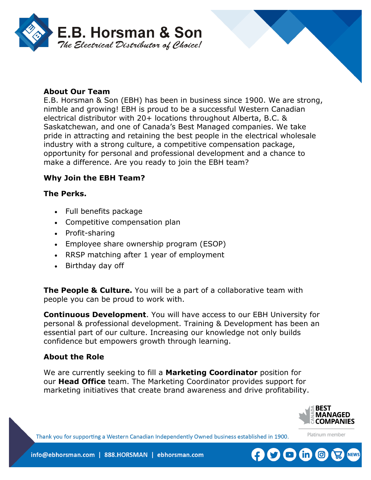



E.B. Horsman & Son (EBH) has been in business since 1900. We are strong, nimble and growing! EBH is proud to be a successful Western Canadian electrical distributor with 20+ locations throughout Alberta, B.C. & Saskatchewan, and one of Canada's Best Managed companies. We take pride in attracting and retaining the best people in the electrical wholesale industry with a strong culture, a competitive compensation package, opportunity for personal and professional development and a chance to make a difference. Are you ready to join the EBH team?

### **Why Join the EBH Team?**

#### **The Perks.**

- Full benefits package
- Competitive compensation plan
- Profit-sharing
- Employee share ownership program (ESOP)
- RRSP matching after 1 year of employment
- Birthday day off

**The People & Culture.** You will be a part of a collaborative team with people you can be proud to work with.

**Continuous Development**. You will have access to our EBH University for personal & professional development. Training & Development has been an essential part of our culture. Increasing our knowledge not only builds confidence but empowers growth through learning.

#### **About the Role**

We are currently seeking to fill a **Marketing Coordinator** position for our **Head Office** team. The Marketing Coordinator provides support for marketing initiatives that create brand awareness and drive profitability.



Platinum member

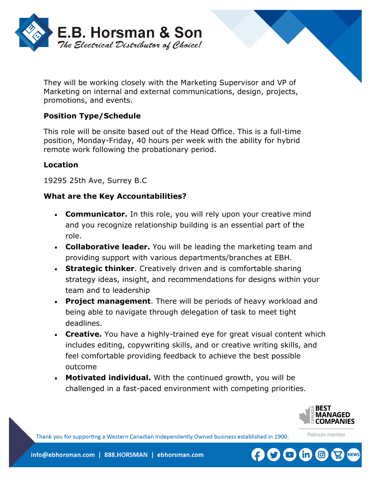

They will be working closely with the Marketing Supervisor and VP of Marketing on internal and external communications, design, projects, promotions, and events.

# **Position Type/Schedule**

This role will be onsite based out of the Head Office. This is a full-time position, Monday-Friday, 40 hours per week with the ability for hybrid remote work following the probationary period.

### **Location**

19295 25th Ave, Surrey B.C

### **What are the Key Accountabilities?**

- **Communicator.** In this role, you will rely upon your creative mind and you recognize relationship building is an essential part of the role.
- **Collaborative leader.** You will be leading the marketing team and providing support with various departments/branches at EBH.
- **Strategic thinker**. Creatively driven and is comfortable sharing strategy ideas, insight, and recommendations for designs within your team and to leadership
- **Project management**. There will be periods of heavy workload and being able to navigate through delegation of task to meet tight deadlines.
- **Creative.** You have a highly-trained eye for great visual content which includes editing, copywriting skills, and or creative writing skills, and feel comfortable providing feedback to achieve the best possible outcome
- **Motivated individual.** With the continued growth, you will be challenged in a fast-paced environment with competing priorities.



Platinum member

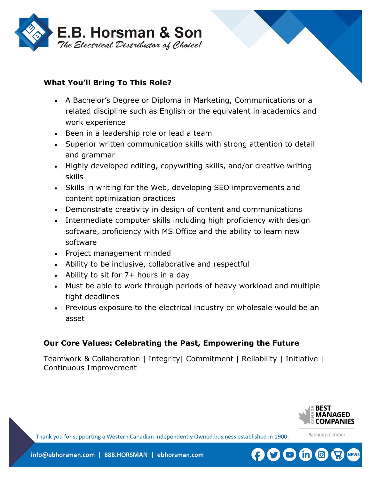



- A Bachelor's Degree or Diploma in Marketing, Communications or a related discipline such as English or the equivalent in academics and work experience
- Been in a leadership role or lead a team
- Superior written communication skills with strong attention to detail and grammar
- Highly developed editing, copywriting skills, and/or creative writing skills
- Skills in writing for the Web, developing SEO improvements and content optimization practices
- Demonstrate creativity in design of content and communications
- Intermediate computer skills including high proficiency with design software, proficiency with MS Office and the ability to learn new software
- Project management minded
- Ability to be inclusive, collaborative and respectful
- Ability to sit for 7+ hours in a day
- Must be able to work through periods of heavy workload and multiple tight deadlines
- Previous exposure to the electrical industry or wholesale would be an asset

## **Our Core Values: Celebrating the Past, Empowering the Future**

Teamwork & Collaboration | Integrity| Commitment | Reliability | Initiative | Continuous Improvement



Platinum member